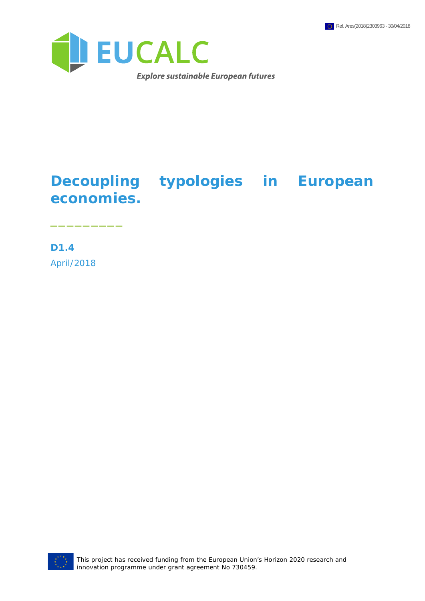

## **Decoupling typologies in European economies.**

**D1.4** April/2018

\_\_\_\_\_\_\_\_\_



This project has received funding from the European Union's Horizon 2020 research and innovation programme under grant agreement No 730459.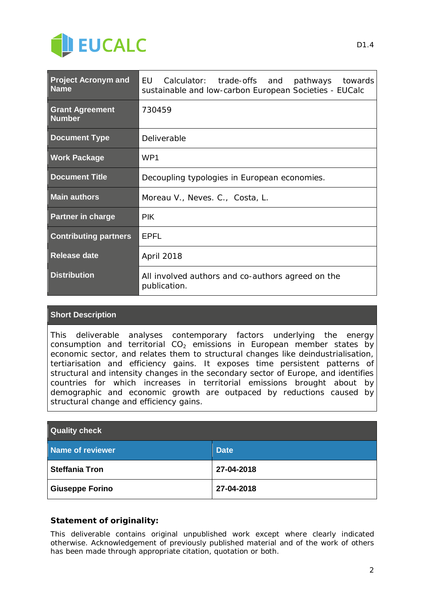

| <b>Project Acronym and</b><br><b>Name</b> | EU<br>Calculator: trade-offs and pathways towards<br>sustainable and low-carbon European Societies - EUCalc |
|-------------------------------------------|-------------------------------------------------------------------------------------------------------------|
| <b>Grant Agreement</b><br><b>Number</b>   | 730459                                                                                                      |
| <b>Document Type</b>                      | Deliverable                                                                                                 |
| <b>Work Package</b>                       | WP <sub>1</sub>                                                                                             |
| <b>Document Title</b>                     | Decoupling typologies in European economies.                                                                |
| <b>Main authors</b>                       | Moreau V., Neves. C., Costa, L.                                                                             |
| <b>Partner in charge</b>                  | <b>PIK</b>                                                                                                  |
| <b>Contributing partners</b>              | <b>EPFL</b>                                                                                                 |
| <b>Release date</b>                       | April 2018                                                                                                  |
| <b>Distribution</b>                       | All involved authors and co-authors agreed on the<br>publication.                                           |

#### **Short Description**

This deliverable analyses contemporary factors underlying the energy consumption and territorial CO<sub>2</sub> emissions in European member states by economic sector, and relates them to structural changes like deindustrialisation, tertiarisation and efficiency gains. It exposes time persistent patterns of structural and intensity changes in the secondary sector of Europe, and identifies countries for which increases in territorial emissions brought about by demographic and economic growth are outpaced by reductions caused by structural change and efficiency gains.

| <b>Quality check</b>   |             |  |
|------------------------|-------------|--|
| Name of reviewer       | <b>Date</b> |  |
| <b>Steffania Tron</b>  | 27-04-2018  |  |
| <b>Giuseppe Forino</b> | 27-04-2018  |  |

#### **Statement of originality:**

This deliverable contains original unpublished work except where clearly indicated otherwise. Acknowledgement of previously published material and of the work of others has been made through appropriate citation, quotation or both.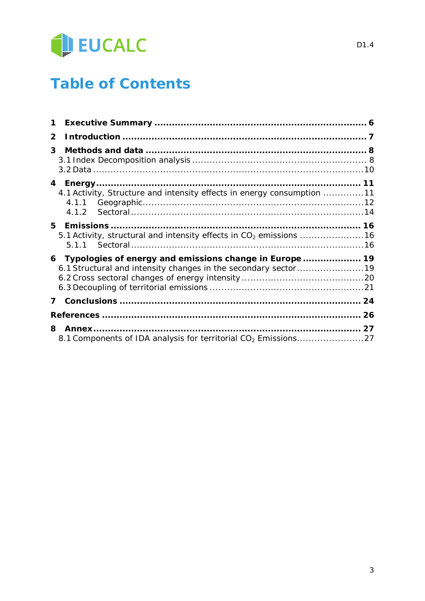

## **Table of Contents**

| 1            |                                                                                |  |
|--------------|--------------------------------------------------------------------------------|--|
| $\mathbf{2}$ |                                                                                |  |
| 3            |                                                                                |  |
|              | 4.1 Activity, Structure and intensity effects in energy consumption 11         |  |
| 5.           | 5.1 Activity, structural and intensity effects in CO <sub>2</sub> emissions 16 |  |
|              | 6 Typologies of energy and emissions change in Europe  19                      |  |
| 7            |                                                                                |  |
|              |                                                                                |  |
| 8.           |                                                                                |  |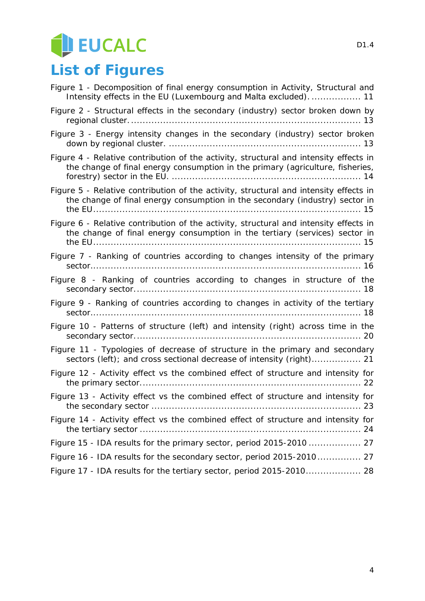# EUCALC

## **List of Figures**

| Figure 1 - Decomposition of final energy consumption in Activity, Structural and<br>Intensity effects in the EU (Luxembourg and Malta excluded).  11                    |
|-------------------------------------------------------------------------------------------------------------------------------------------------------------------------|
| Figure 2 - Structural effects in the secondary (industry) sector broken down by                                                                                         |
| Figure 3 - Energy intensity changes in the secondary (industry) sector broken                                                                                           |
| Figure 4 - Relative contribution of the activity, structural and intensity effects in<br>the change of final energy consumption in the primary (agriculture, fisheries, |
| Figure 5 - Relative contribution of the activity, structural and intensity effects in<br>the change of final energy consumption in the secondary (industry) sector in   |
| Figure 6 - Relative contribution of the activity, structural and intensity effects in<br>the change of final energy consumption in the tertiary (services) sector in    |
| Figure 7 - Ranking of countries according to changes intensity of the primary                                                                                           |
| Figure 8 - Ranking of countries according to changes in structure of the                                                                                                |
| Figure 9 - Ranking of countries according to changes in activity of the tertiary                                                                                        |
| Figure 10 - Patterns of structure (left) and intensity (right) across time in the                                                                                       |
| Figure 11 - Typologies of decrease of structure in the primary and secondary<br>sectors (left); and cross sectional decrease of intensity (right) 21                    |
| Figure 12 - Activity effect vs the combined effect of structure and intensity for                                                                                       |
| Figure 13 - Activity effect vs the combined effect of structure and intensity for                                                                                       |
| Figure 14 - Activity effect vs the combined effect of structure and intensity for                                                                                       |
|                                                                                                                                                                         |
| Figure 16 - IDA results for the secondary sector, period 2015-2010 27                                                                                                   |
| Figure 17 - IDA results for the tertiary sector, period 2015-2010 28                                                                                                    |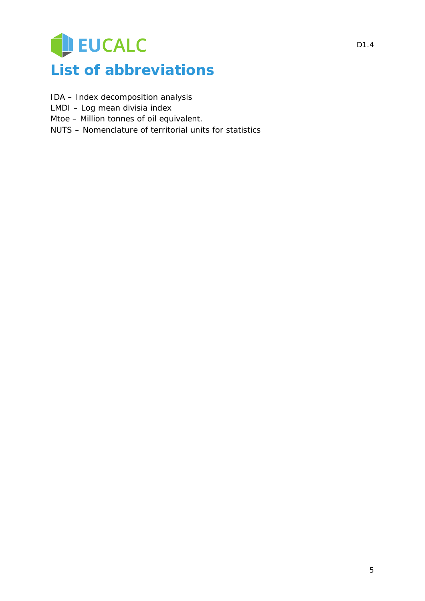## EUCALC **List of abbreviations**

- IDA Index decomposition analysis
- LMDI Log mean divisia index
- Mtoe Million tonnes of oil equivalent.
- NUTS Nomenclature of territorial units for statistics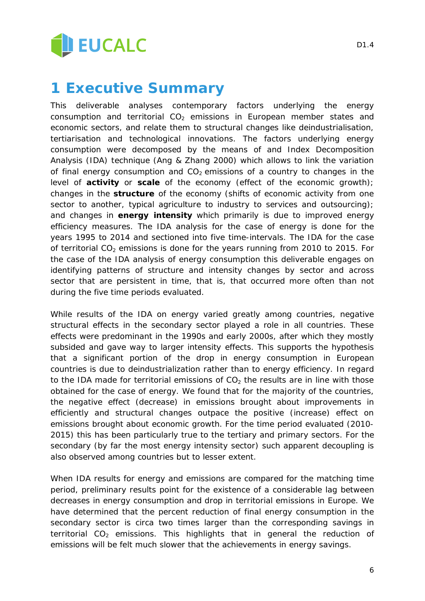

**1 Executive Summary**

This deliverable analyses contemporary factors underlying the energy consumption and territorial  $CO<sub>2</sub>$  emissions in European member states and economic sectors, and relate them to structural changes like deindustrialisation, tertiarisation and technological innovations. The factors underlying energy consumption were decomposed by the means of and Index Decomposition Analysis (IDA) technique (Ang & Zhang 2000) which allows to link the variation of final energy consumption and  $CO<sub>2</sub>$  emissions of a country to changes in the level of *activity* or *scale* of the economy (effect of the economic growth); changes in the *structure* of the economy (shifts of economic activity from one sector to another, typical agriculture to industry to services and outsourcing); and changes in *energy intensity* which primarily is due to improved energy efficiency measures. The IDA analysis for the case of energy is done for the years 1995 to 2014 and sectioned into five time-intervals. The IDA for the case of territorial  $CO<sub>2</sub>$  emissions is done for the years running from 2010 to 2015. For the case of the IDA analysis of energy consumption this deliverable engages on identifying patterns of structure and intensity changes by sector and across sector that are persistent in time, that is, that occurred more often than not during the five time periods evaluated.

While results of the IDA on energy varied greatly among countries, negative structural effects in the secondary sector played a role in all countries. These effects were predominant in the 1990s and early 2000s, after which they mostly subsided and gave way to larger intensity effects. This supports the hypothesis that a significant portion of the drop in energy consumption in European countries is due to deindustrialization rather than to energy efficiency. In regard to the IDA made for territorial emissions of  $CO<sub>2</sub>$  the results are in line with those obtained for the case of energy. We found that for the majority of the countries, the negative effect (decrease) in emissions brought about improvements in efficiently and structural changes outpace the positive (increase) effect on emissions brought about economic growth. For the time period evaluated (2010- 2015) this has been particularly true to the tertiary and primary sectors. For the secondary (by far the most energy intensity sector) such apparent decoupling is also observed among countries but to lesser extent.

When IDA results for energy and emissions are compared for the matching time period, preliminary results point for the existence of a considerable lag between decreases in energy consumption and drop in territorial emissions in Europe. We have determined that the percent reduction of final energy consumption in the secondary sector is circa two times larger than the corresponding savings in territorial  $CO<sub>2</sub>$  emissions. This highlights that in general the reduction of emissions will be felt much slower that the achievements in energy savings.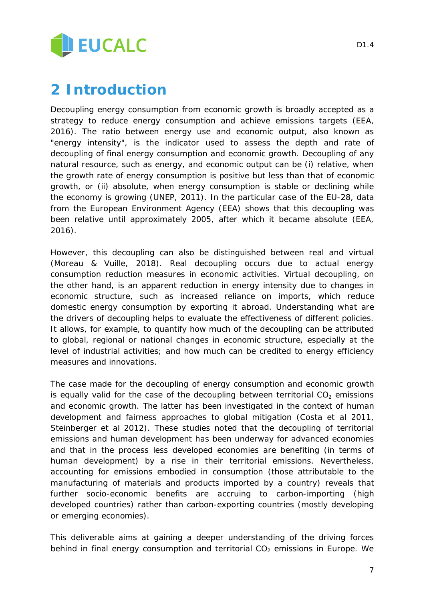

## **2 Introduction**

Decoupling energy consumption from economic growth is broadly accepted as a strategy to reduce energy consumption and achieve emissions targets (EEA, 2016). The ratio between energy use and economic output, also known as "energy intensity", is the indicator used to assess the depth and rate of decoupling of final energy consumption and economic growth. Decoupling of any natural resource, such as energy, and economic output can be (i) relative, when the growth rate of energy consumption is positive but less than that of economic growth, or (ii) absolute, when energy consumption is stable or declining while the economy is growing (UNEP, 2011). In the particular case of the EU-28, data from the European Environment Agency (EEA) shows that this decoupling was been relative until approximately 2005, after which it became absolute (EEA, 2016).

However, this decoupling can also be distinguished between real and virtual (Moreau & Vuille, 2018). Real decoupling occurs due to actual energy consumption reduction measures in economic activities. Virtual decoupling, on the other hand, is an apparent reduction in energy intensity due to changes in economic structure, such as increased reliance on imports, which reduce domestic energy consumption by exporting it abroad. Understanding what are the drivers of decoupling helps to evaluate the effectiveness of different policies. It allows, for example, to quantify how much of the decoupling can be attributed to global, regional or national changes in economic structure, especially at the level of industrial activities; and how much can be credited to energy efficiency measures and innovations.

The case made for the decoupling of energy consumption and economic growth is equally valid for the case of the decoupling between territorial  $CO<sub>2</sub>$  emissions and economic growth. The latter has been investigated in the context of human development and fairness approaches to global mitigation (Costa et al 2011, Steinberger et al 2012). These studies noted that the decoupling of territorial emissions and human development has been underway for advanced economies and that in the process less developed economies are benefiting (in terms of human development) by a rise in their territorial emissions. Nevertheless, accounting for emissions embodied in consumption (those attributable to the manufacturing of materials and products imported by a country) reveals that further socio-economic benefits are accruing to carbon-importing (high developed countries) rather than carbon-exporting countries (mostly developing or emerging economies).

This deliverable aims at gaining a deeper understanding of the driving forces behind in final energy consumption and territorial  $CO<sub>2</sub>$  emissions in Europe. We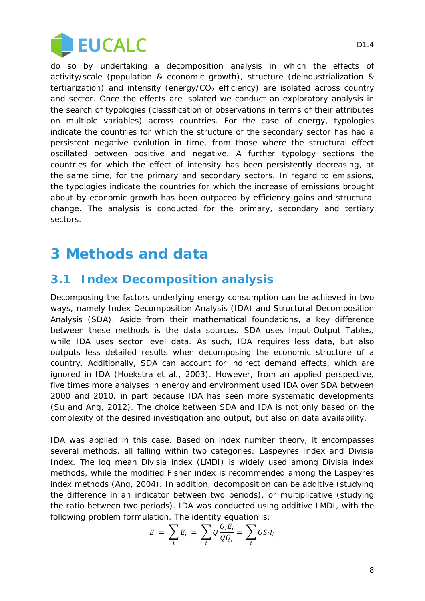

do so by undertaking a decomposition analysis in which the effects of activity/scale (population & economic growth), structure (deindustrialization & tertiarization) and intensity (energy/ $CO<sub>2</sub>$  efficiency) are isolated across country and sector. Once the effects are isolated we conduct an exploratory analysis in the search of typologies (classification of observations in terms of their attributes on multiple variables) across countries. For the case of energy, typologies indicate the countries for which the structure of the secondary sector has had a persistent negative evolution in time, from those where the structural effect oscillated between positive and negative. A further typology sections the countries for which the effect of intensity has been persistently decreasing, at the same time, for the primary and secondary sectors. In regard to emissions, the typologies indicate the countries for which the increase of emissions brought about by economic growth has been outpaced by efficiency gains and structural change. The analysis is conducted for the primary, secondary and tertiary sectors.

## **3 Methods and data**

#### **3.1 Index Decomposition analysis**

Decomposing the factors underlying energy consumption can be achieved in two ways, namely Index Decomposition Analysis (IDA) and Structural Decomposition Analysis (SDA). Aside from their mathematical foundations, a key difference between these methods is the data sources. SDA uses Input-Output Tables, while IDA uses sector level data. As such, IDA requires less data, but also outputs less detailed results when decomposing the economic structure of a country. Additionally, SDA can account for indirect demand effects, which are ignored in IDA (Hoekstra et al., 2003). However, from an applied perspective, five times more analyses in energy and environment used IDA over SDA between 2000 and 2010, in part because IDA has seen more systematic developments (Su and Ang, 2012). The choice between SDA and IDA is not only based on the complexity of the desired investigation and output, but also on data availability.

IDA was applied in this case. Based on index number theory, it encompasses several methods, all falling within two categories: Laspeyres Index and Divisia Index. The log mean Divisia index (LMDI) is widely used among Divisia index methods, while the modified Fisher index is recommended among the Laspeyres index methods (Ang, 2004). In addition, decomposition can be additive (studying the difference in an indicator between two periods), or multiplicative (studying the ratio between two periods). IDA was conducted using additive LMDI, with the following problem formulation. The identity equation is:

$$
E = \sum_{i} E_i = \sum_{i} Q \frac{Q_i E_i}{Q Q_i} = \sum_{i} Q S_i I_i
$$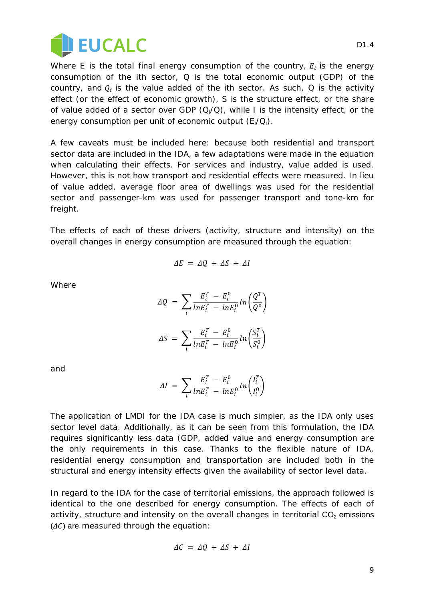

Where  $E$  is the total final energy consumption of the country,  $E_i$  is the energy consumption of the *i*th sector, *Q* is the total economic output (GDP) of the country, and  $Q_i$  is the value added of the  $i$ th sector. As such,  $Q$  is the *activity* effect (or the effect of economic growth), *S* is the *structure* effect, or the share of value added of a sector over GDP (*Qi/Q*), while *I* is the *intensity* effect, or the energy consumption per unit of economic output (*Ei/Qi*).

A few caveats must be included here: because both residential and transport sector data are included in the IDA, a few adaptations were made in the equation when calculating their effects. For services and industry, value added is used. However, this is not how transport and residential effects were measured. In lieu of value added, average floor area of dwellings was used for the residential sector and passenger-km was used for passenger transport and tone-km for freight.

The effects of each of these drivers (activity, structure and intensity) on the overall changes in energy consumption are measured through the equation:

$$
\Delta E = \Delta Q + \Delta S + \Delta I
$$

Where

$$
\Delta Q = \sum_{i} \frac{E_i^T - E_i^0}{ln E_i^T - ln E_i^0} ln \left( \frac{Q^T}{Q^0} \right)
$$

$$
\Delta S = \sum_{i} \frac{E_i^T - E_i^0}{ln E_i^T - ln E_i^0} ln \left( \frac{S_i^T}{S_i^0} \right)
$$

and

$$
\Delta I = \sum_{i} \frac{E_i^T - E_i^0}{ln E_i^T - ln E_i^0} ln \left( \frac{I_i^T}{I_i^0} \right)
$$

The application of LMDI for the IDA case is much simpler, as the IDA only uses sector level data. Additionally, as it can be seen from this formulation, the IDA requires significantly less data (GDP, added value and energy consumption are the only requirements in this case. Thanks to the flexible nature of IDA, residential energy consumption and transportation are included both in the structural and energy intensity effects given the availability of sector level data.

In regard to the IDA for the case of territorial emissions, the approach followed is identical to the one described for energy consumption. The effects of each of activity, structure and intensity on the overall changes in territorial  $CO<sub>2</sub>$  emissions  $(\Delta C)$  are measured through the equation:

$$
\Delta C = \Delta Q + \Delta S + \Delta I
$$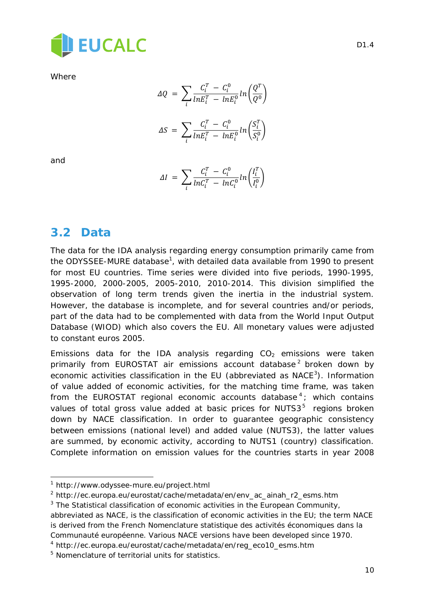

**Where** 

$$
\Delta Q = \sum_{i} \frac{C_i^T - C_i^0}{ln E_i^T - ln E_i^0} ln \left( \frac{Q^T}{Q^0} \right)
$$

$$
\Delta S = \sum_{i} \frac{C_i^T - C_i^0}{ln E_i^T - ln E_i^0} ln \left( \frac{S_i^T}{S_i^0} \right)
$$

and

l

$$
\Delta I = \sum_{i} \frac{C_i^T - C_i^0}{ln C_i^T - ln C_i^0} ln \left( \frac{I_i^T}{I_i^0} \right)
$$

#### **3.2 Data**

The data for the IDA analysis regarding energy consumption primarily came from the ODYSSEE-MURE database<sup>[1](#page-9-0)</sup>, with detailed data available from 1990 to present for most EU countries. Time series were divided into five periods, 1990-1995, 1995-2000, 2000-2005, 2005-2010, 2010-2014. This division simplified the observation of long term trends given the inertia in the industrial system. However, the database is incomplete, and for several countries and/or periods, part of the data had to be complemented with data from the World Input Output Database (WIOD) which also covers the EU. All monetary values were adjusted to constant euros 2005.

Emissions data for the IDA analysis regarding  $CO<sub>2</sub>$  emissions were taken primarily from EUROSTAT air emissions account database<sup>[2](#page-9-1)</sup> broken down by economic activities classification in the EU (abbreviated as  $NACE<sup>3</sup>$  $NACE<sup>3</sup>$  $NACE<sup>3</sup>$ ). Information of value added of economic activities, for the matching time frame, was taken from the EUROSTAT regional economic accounts database  $4$ ; which contains values of total gross value added at basic prices for NUTS $3<sup>5</sup>$  $3<sup>5</sup>$  $3<sup>5</sup>$  regions broken down by NACE classification. In order to guarantee geographic consistency between emissions (national level) and added value (NUTS3), the latter values are summed, by economic activity, according to NUTS1 (country) classification. Complete information on emission values for the countries starts in year 2008

<span id="page-9-0"></span><sup>1</sup> http://www.odyssee-mure.eu/project.html

<span id="page-9-1"></span><sup>2</sup> http://ec.europa.eu/eurostat/cache/metadata/en/env\_ac\_ainah\_r2\_esms.htm

<span id="page-9-2"></span> $3$  The Statistical classification of economic activities in the European Community,

abbreviated as NACE, is the classification of economic activities in the EU; the term NACE is derived from the French Nomenclature statistique des activités économiques dans la Communauté européenne. Various NACE versions have been developed since 1970.

<span id="page-9-3"></span><sup>4</sup> http://ec.europa.eu/eurostat/cache/metadata/en/reg\_eco10\_esms.htm

<span id="page-9-4"></span><sup>&</sup>lt;sup>5</sup> Nomenclature of territorial units for statistics.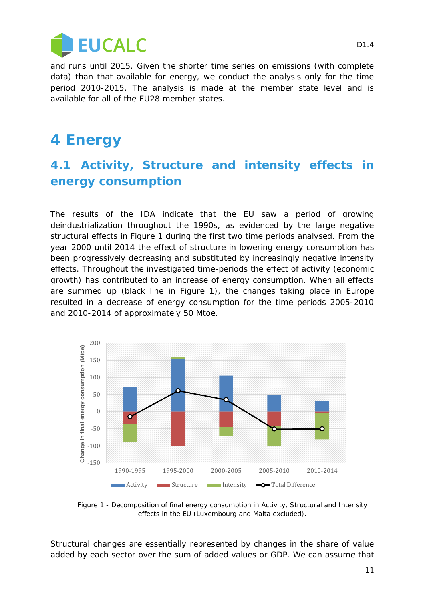

and runs until 2015. Given the shorter time series on emissions (with complete data) than that available for energy, we conduct the analysis only for the time period 2010-2015. The analysis is made at the member state level and is available for all of the EU28 member states.

## <span id="page-10-1"></span>**4 Energy**

### **4.1 Activity, Structure and intensity effects in energy consumption**

The results of the IDA indicate that the EU saw a period of growing deindustrialization throughout the 1990s, as evidenced by the large negative structural effects in [Figure 1](#page-10-0) during the first two time periods analysed. From the year 2000 until 2014 the effect of structure in lowering energy consumption has been progressively decreasing and substituted by increasingly negative intensity effects. Throughout the investigated time-periods the effect of activity (economic growth) has contributed to an increase of energy consumption. When all effects are summed up (black line in [Figure 1\)](#page-10-0), the changes taking place in Europe resulted in a decrease of energy consumption for the time periods 2005-2010 and 2010-2014 of approximately 50 Mtoe.



<span id="page-10-0"></span>*Figure 1 - Decomposition of final energy consumption in Activity, Structural and Intensity effects in the EU (Luxembourg and Malta excluded).*

Structural changes are essentially represented by changes in the share of value added by each sector over the sum of added values or GDP. We can assume that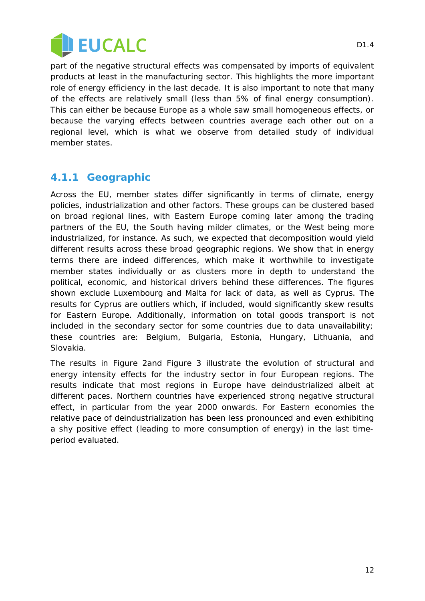

part of the negative structural effects was compensated by imports of equivalent products at least in the manufacturing sector. This highlights the more important role of energy efficiency in the last decade. It is also important to note that many of the effects are relatively small (less than 5% of final energy consumption). This can either be because Europe as a whole saw small homogeneous effects, or because the varying effects between countries average each other out on a regional level, which is what we observe from detailed study of individual member states.

#### <span id="page-11-0"></span>**4.1.1 Geographic**

Across the EU, member states differ significantly in terms of climate, energy policies, industrialization and other factors. These groups can be clustered based on broad regional lines, with Eastern Europe coming later among the trading partners of the EU, the South having milder climates, or the West being more industrialized, for instance. As such, we expected that decomposition would yield different results across these broad geographic regions. We show that in energy terms there are indeed differences, which make it worthwhile to investigate member states individually or as clusters more in depth to understand the political, economic, and historical drivers behind these differences. The figures shown exclude Luxembourg and Malta for lack of data, as well as Cyprus. The results for Cyprus are outliers which, if included, would significantly skew results for Eastern Europe. Additionally, information on total goods transport is not included in the secondary sector for some countries due to data unavailability; these countries are: Belgium, Bulgaria, Estonia, Hungary, Lithuania, and Slovakia.

The results in [Figure 2a](#page-12-0)nd [Figure 3](#page-12-1) illustrate the evolution of structural and energy intensity effects for the industry sector in four European regions. The results indicate that most regions in Europe have deindustrialized albeit at different paces. Northern countries have experienced strong negative structural effect, in particular from the year 2000 onwards. For Eastern economies the relative pace of deindustrialization has been less pronounced and even exhibiting a shy positive effect (leading to more consumption of energy) in the last timeperiod evaluated.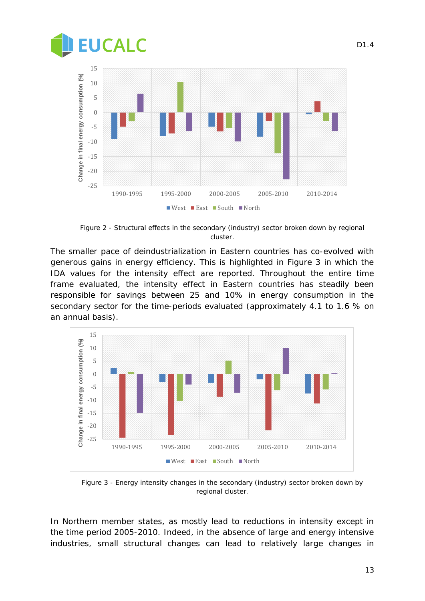



*Figure 2 - Structural effects in the secondary (industry) sector broken down by regional cluster.*

<span id="page-12-0"></span>The smaller pace of deindustrialization in Eastern countries has co-evolved with generous gains in energy efficiency. This is highlighted in [Figure 3](#page-12-1) in which the IDA values for the intensity effect are reported. Throughout the entire time frame evaluated, the intensity effect in Eastern countries has steadily been responsible for savings between 25 and 10% in energy consumption in the secondary sector for the time-periods evaluated (approximately 4.1 to 1.6 % on an annual basis).



<span id="page-12-1"></span>*Figure 3 - Energy intensity changes in the secondary (industry) sector broken down by regional cluster.*

In Northern member states, as mostly lead to reductions in intensity except in the time period 2005-2010. Indeed, in the absence of large and energy intensive industries, small structural changes can lead to relatively large changes in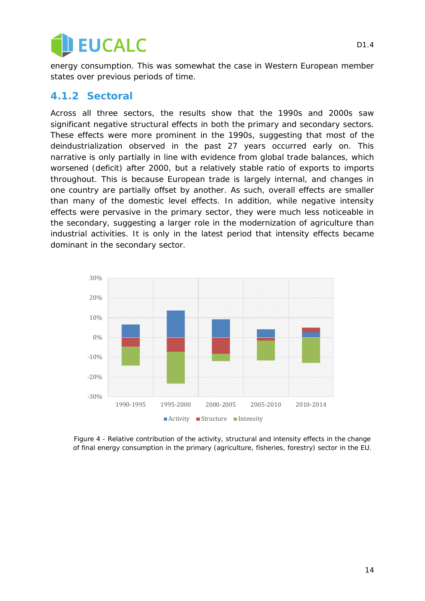

energy consumption. This was somewhat the case in Western European member states over previous periods of time.

#### <span id="page-13-0"></span>**4.1.2 Sectoral**

Across all three sectors, the results show that the 1990s and 2000s saw significant negative structural effects in both the primary and secondary sectors. These effects were more prominent in the 1990s, suggesting that most of the deindustrialization observed in the past 27 years occurred early on. This narrative is only partially in line with evidence from global trade balances, which worsened (deficit) after 2000, but a relatively stable ratio of exports to imports throughout. This is because European trade is largely internal, and changes in one country are partially offset by another. As such, overall effects are smaller than many of the domestic level effects. In addition, while negative intensity effects were pervasive in the primary sector, they were much less noticeable in the secondary, suggesting a larger role in the modernization of agriculture than industrial activities. It is only in the latest period that intensity effects became dominant in the secondary sector.



*Figure 4 - Relative contribution of the activity, structural and intensity effects in the change of final energy consumption in the primary (agriculture, fisheries, forestry) sector in the EU.*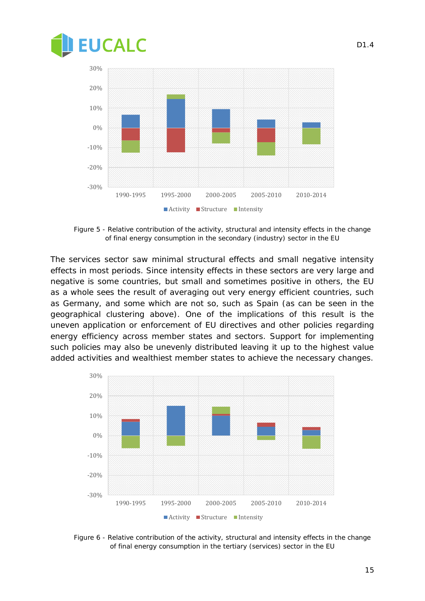



*Figure 5 - Relative contribution of the activity, structural and intensity effects in the change of final energy consumption in the secondary (industry) sector in the EU*

The services sector saw minimal structural effects and small negative intensity effects in most periods. Since intensity effects in these sectors are very large and negative is some countries, but small and sometimes positive in others, the EU as a whole sees the result of averaging out very energy efficient countries, such as Germany, and some which are not so, such as Spain (as can be seen in the geographical clustering above). One of the implications of this result is the uneven application or enforcement of EU directives and other policies regarding energy efficiency across member states and sectors. Support for implementing such policies may also be unevenly distributed leaving it up to the highest value added activities and wealthiest member states to achieve the necessary changes.



*Figure 6 - Relative contribution of the activity, structural and intensity effects in the change of final energy consumption in the tertiary (services) sector in the EU*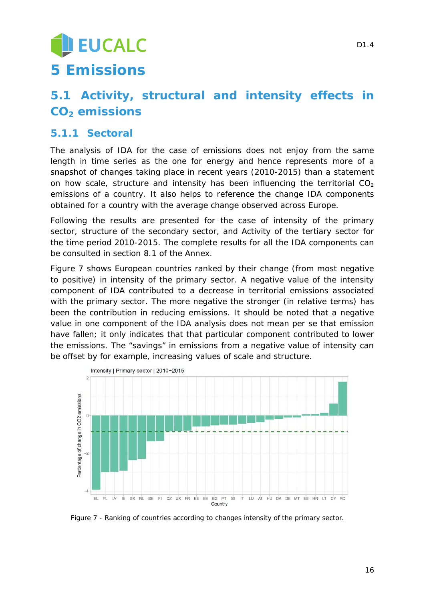## EUCALC **5 Emissions**

## <span id="page-15-1"></span>**5.1 Activity, structural and intensity effects in CO2 emissions**

#### <span id="page-15-2"></span>**5.1.1 Sectoral**

The analysis of IDA for the case of emissions does not enjoy from the same length in time series as the one for energy and hence represents more of a snapshot of changes taking place in recent years (2010-2015) than a statement on how scale, structure and intensity has been influencing the territorial  $CO<sub>2</sub>$ emissions of a country. It also helps to reference the change IDA components obtained for a country with the average change observed across Europe.

Following the results are presented for the case of intensity of the primary sector, structure of the secondary sector, and Activity of the tertiary sector for the time period 2010-2015. The complete results for all the IDA components can be consulted in section [8.1](#page-26-0) of the Annex.

[Figure 7](#page-15-0) shows European countries ranked by their change (from most negative to positive) in intensity of the primary sector. A negative value of the intensity component of IDA contributed to a decrease in territorial emissions associated with the primary sector. The more negative the stronger (in relative terms) has been the contribution in reducing emissions. It should be noted that a negative value in one component of the IDA analysis does not mean *per se* that emission have fallen; it only indicates that *that* particular component contributed to lower the emissions. The "savings" in emissions from a negative value of intensity can be offset by for example, increasing values of scale and structure.



<span id="page-15-0"></span>*Figure 7 - Ranking of countries according to changes intensity of the primary sector.*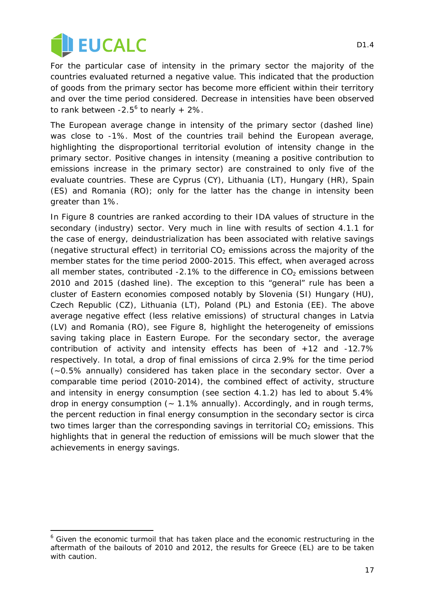

For the particular case of intensity in the primary sector the majority of the countries evaluated returned a negative value. This indicated that the production of goods from the primary sector has become more efficient within their territory and over the time period considered. Decrease in intensities have been observed to rank between  $-2.5^6$  $-2.5^6$  to nearly  $+2\%$ .

The European average change in intensity of the primary sector (dashed line) was close to -1%. Most of the countries trail behind the European average, highlighting the disproportional territorial evolution of intensity change in the primary sector. Positive changes in intensity (meaning a positive contribution to emissions increase in the primary sector) are constrained to only five of the evaluate countries. These are Cyprus (CY), Lithuania (LT), Hungary (HR), Spain (ES) and Romania (RO); only for the latter has the change in intensity been greater than 1%.

In [Figure 8](#page-17-0) countries are ranked according to their IDA values of structure in the secondary (industry) sector. Very much in line with results of section [4.1.1](#page-11-0) for the case of energy, deindustrialization has been associated with relative savings (negative structural effect) in territorial  $CO<sub>2</sub>$  emissions across the majority of the member states for the time period 2000-2015. This effect, when averaged across all member states, contributed  $-2.1\%$  to the difference in CO<sub>2</sub> emissions between 2010 and 2015 (dashed line). The exception to this "general" rule has been a cluster of Eastern economies composed notably by Slovenia (SI) Hungary (HU), Czech Republic (CZ), Lithuania (LT), Poland (PL) and Estonia (EE). The above average negative effect (less relative emissions) of structural changes in Latvia (LV) and Romania (RO), see [Figure 8,](#page-17-0) highlight the heterogeneity of emissions saving taking place in Eastern Europe. For the secondary sector, the average contribution of activity and intensity effects has been of +12 and -12.7% respectively. In total, a drop of final emissions of circa 2.9% for the time period (~0.5% annually) considered has taken place in the secondary sector. Over a comparable time period (2010-2014), the combined effect of activity, structure and intensity in energy consumption (see section [4.1.2\)](#page-13-0) has led to about 5.4% drop in energy consumption  $(-1.1\%$  annually). Accordingly, and in rough terms, the percent reduction in final energy consumption in the secondary sector is circa two times larger than the corresponding savings in territorial  $CO<sub>2</sub>$  emissions. This highlights that in general the reduction of emissions will be much slower that the achievements in energy savings.

<span id="page-16-0"></span>l,  $6$  Given the economic turmoil that has taken place and the economic restructuring in the aftermath of the bailouts of 2010 and 2012, the results for Greece (EL) are to be taken with caution.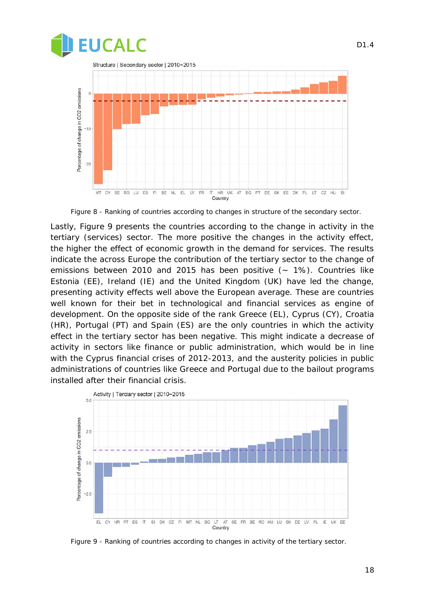

*Figure 8 - Ranking of countries according to changes in structure of the secondary sector.*

<span id="page-17-0"></span>Lastly, [Figure 9](#page-17-1) presents the countries according to the change in activity in the tertiary (services) sector. The more positive the changes in the activity effect, the higher the effect of economic growth in the demand for services. The results indicate the across Europe the contribution of the tertiary sector to the change of emissions between 2010 and 2015 has been positive  $(-1\%)$ . Countries like Estonia (EE), Ireland (IE) and the United Kingdom (UK) have led the change, presenting activity effects well above the European average. These are countries well known for their bet in technological and financial services as engine of development. On the opposite side of the rank Greece (EL), Cyprus (CY), Croatia (HR), Portugal (PT) and Spain (ES) are the only countries in which the activity effect in the tertiary sector has been negative. This might indicate a decrease of activity in sectors like finance or public administration, which would be in line with the Cyprus financial crises of 2012-2013, and the austerity policies in public administrations of countries like Greece and Portugal due to the bailout programs installed after their financial crisis.



<span id="page-17-1"></span>*Figure 9 - Ranking of countries according to changes in activity of the tertiary sector.*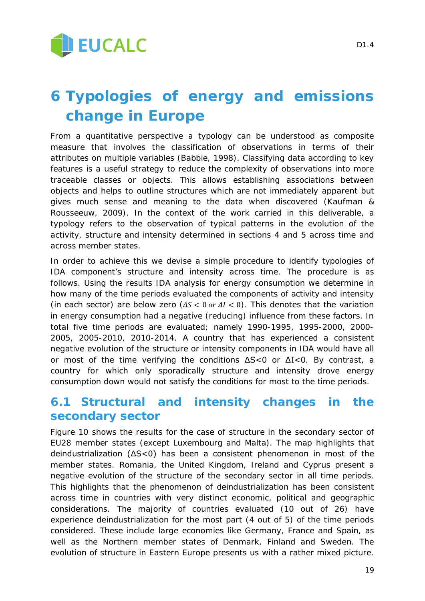

## **6 Typologies of energy and emissions change in Europe**

From a quantitative perspective a typology can be understood as composite measure that involves the classification of observations in terms of their attributes on multiple variables (Babbie, 1998). Classifying data according to key features is a useful strategy to reduce the complexity of observations into more traceable classes or objects. This allows establishing associations between objects and helps to outline structures which are not immediately apparent but gives much sense and meaning to the data when discovered (Kaufman & Rousseeuw, 2009). In the context of the work carried in this deliverable, a typology refers to the observation of typical patterns in the evolution of the activity, structure and intensity determined in sections [4](#page-10-1) and [5](#page-15-1) across time and across member states.

In order to achieve this we devise a simple procedure to identify typologies of IDA component's structure and intensity across time. The procedure is as follows. Using the results IDA analysis for energy consumption we determine in how many of the time periods evaluated the components of activity and intensity (in each sector) are below zero  $(\Delta S < 0 \text{ or } \Delta I < 0)$ . This denotes that the variation in energy consumption had a negative (reducing) influence from these factors. In total five time periods are evaluated; namely 1990-1995, 1995-2000, 2000- 2005, 2005-2010, 2010-2014. A country that has experienced a consistent negative evolution of the structure or intensity components in IDA would have all or most of the time verifying the conditions ΔS<0 or ΔI<0. By contrast, a country for which only sporadically structure and intensity drove energy consumption down would not satisfy the conditions for most to the time periods.

#### **6.1 Structural and intensity changes in the secondary sector**

[Figure 10](#page-19-0) shows the results for the case of structure in the secondary sector of EU28 member states (except Luxembourg and Malta). The map highlights that deindustrialization (ΔS<0) has been a consistent phenomenon in most of the member states. Romania, the United Kingdom, Ireland and Cyprus present a negative evolution of the structure of the secondary sector in all time periods. This highlights that the phenomenon of deindustrialization has been consistent across time in countries with very distinct economic, political and geographic considerations. The majority of countries evaluated (10 out of 26) have experience deindustrialization for the most part (4 out of 5) of the time periods considered. These include large economies like Germany, France and Spain, as well as the Northern member states of Denmark, Finland and Sweden. The evolution of structure in Eastern Europe presents us with a rather mixed picture.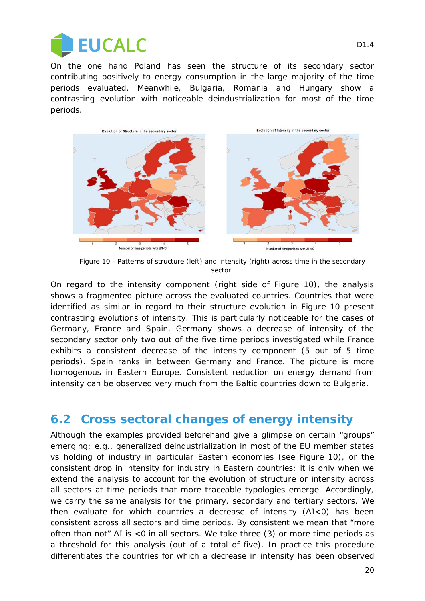

On the one hand Poland has seen the structure of its secondary sector contributing positively to energy consumption in the large majority of the time periods evaluated. Meanwhile, Bulgaria, Romania and Hungary show a contrasting evolution with noticeable deindustrialization for most of the time periods.



*Figure 10 - Patterns of structure (left) and intensity (right) across time in the secondary sector.*

<span id="page-19-0"></span>On regard to the intensity component (right side of [Figure 10\)](#page-19-0), the analysis shows a fragmented picture across the evaluated countries. Countries that were identified as similar in regard to their structure evolution in [Figure 10](#page-19-0) present contrasting evolutions of intensity. This is particularly noticeable for the cases of Germany, France and Spain. Germany shows a decrease of intensity of the secondary sector only two out of the five time periods investigated while France exhibits a consistent decrease of the intensity component (5 out of 5 time periods). Spain ranks in between Germany and France. The picture is more homogenous in Eastern Europe. Consistent reduction on energy demand from intensity can be observed very much from the Baltic countries down to Bulgaria.

#### **6.2 Cross sectoral changes of energy intensity**

Although the examples provided beforehand give a glimpse on certain "groups" emerging; e.g., generalized deindustrialization in most of the EU member states vs holding of industry in particular Eastern economies (see [Figure 10\)](#page-19-0), or the consistent drop in intensity for industry in Eastern countries; it is only when we extend the analysis to account for the evolution of structure or intensity across all sectors at time periods that more traceable typologies emerge. Accordingly, we carry the same analysis for the primary, secondary and tertiary sectors. We then evaluate for which countries a decrease of intensity (ΔI<0) has been consistent across all sectors and time periods. By consistent we mean that "more often than not"  $\Delta I$  is <0 in all sectors. We take three (3) or more time periods as a threshold for this analysis (out of a total of five). In practice this procedure differentiates the countries for which a decrease in intensity has been observed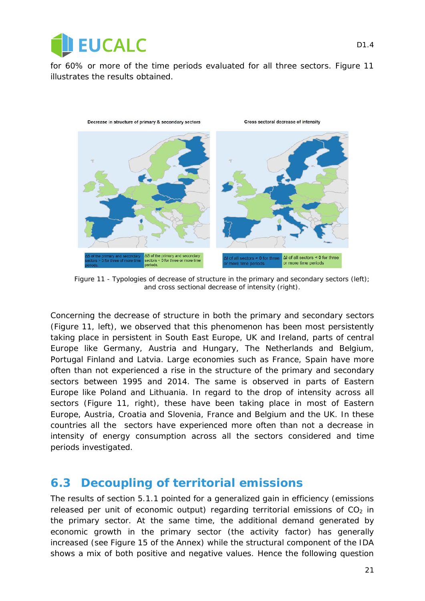

for 60% or more of the time periods evaluated for all three sectors. [Figure 11](#page-20-0) illustrates the results obtained.



<span id="page-20-0"></span>*Figure 11 - Typologies of decrease of structure in the primary and secondary sectors (left); and cross sectional decrease of intensity (right).* 

Concerning the decrease of structure in both the primary and secondary sectors [\(Figure 11,](#page-20-0) left), we observed that this phenomenon has been most persistently taking place in persistent in South East Europe, UK and Ireland, parts of central Europe like Germany, Austria and Hungary, The Netherlands and Belgium, Portugal Finland and Latvia. Large economies such as France, Spain have more often than not experienced a rise in the structure of the primary and secondary sectors between 1995 and 2014. The same is observed in parts of Eastern Europe like Poland and Lithuania. In regard to the drop of intensity across all sectors [\(Figure 11,](#page-20-0) right), these have been taking place in most of Eastern Europe, Austria, Croatia and Slovenia, France and Belgium and the UK. In these countries all the sectors have experienced more often than not a decrease in intensity of energy consumption across all the sectors considered and time periods investigated.

#### **6.3 Decoupling of territorial emissions**

The results of section [5.1.1](#page-15-2) pointed for a generalized gain in efficiency (emissions released per unit of economic output) regarding territorial emissions of  $CO<sub>2</sub>$  in the primary sector. At the same time, the additional demand generated by economic growth in the primary sector (the activity factor) has generally increased (see [Figure 15](#page-26-1) of the Annex) while the structural component of the IDA shows a mix of both positive and negative values. Hence the following question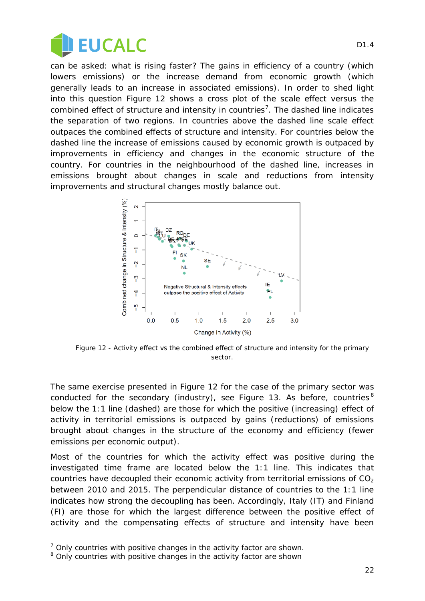

can be asked: what is rising faster? The gains in efficiency of a country (which lowers emissions) or the increase demand from economic growth (which generally leads to an increase in associated emissions). In order to shed light into this question [Figure 12](#page-21-0) shows a cross plot of the scale effect *versus* the combined effect of structure and intensity in countries<sup>[7](#page-21-1)</sup>. The dashed line indicates the separation of two regions. In countries above the dashed line scale effect outpaces the combined effects of structure and intensity. For countries below the dashed line the increase of emissions caused by economic growth is outpaced by improvements in efficiency and changes in the economic structure of the country. For countries in the neighbourhood of the dashed line, increases in emissions brought about changes in scale and reductions from intensity improvements and structural changes mostly balance out.



<span id="page-21-0"></span>*Figure 12 - Activity effect vs the combined effect of structure and intensity for the primary sector.*

The same exercise presented in [Figure 12](#page-21-0) for the case of the primary sector was conducted for the secondary (industry), see [Figure 13.](#page-22-0) As before, countries  $8$ below the 1:1 line (dashed) are those for which the positive (increasing) effect of activity in territorial emissions is outpaced by gains (reductions) of emissions brought about changes in the structure of the economy and efficiency (fewer emissions per economic output).

Most of the countries for which the activity effect was positive during the investigated time frame are located below the 1:1 line. This indicates that countries have decoupled their economic activity from territorial emissions of  $CO<sub>2</sub>$ between 2010 and 2015. The perpendicular distance of countries to the 1:1 line indicates how strong the decoupling has been. Accordingly, Italy (IT) and Finland (FI) are those for which the largest difference between the positive effect of activity and the compensating effects of structure and intensity have been

l

<span id="page-21-1"></span> $<sup>7</sup>$  Only countries with positive changes in the activity factor are shown.</sup>

<span id="page-21-2"></span><sup>&</sup>lt;sup>8</sup> Only countries with positive changes in the activity factor are shown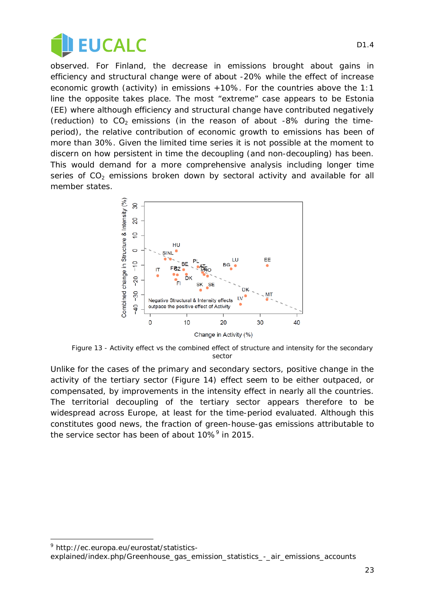

observed. For Finland, the decrease in emissions brought about gains in efficiency and structural change were of about -20% while the effect of increase economic growth (activity) in emissions +10%. For the countries above the 1:1 line the opposite takes place. The most "extreme" case appears to be Estonia (EE) where although efficiency and structural change have contributed negatively (reduction) to  $CO<sub>2</sub>$  emissions (in the reason of about -8% during the timeperiod), the relative contribution of economic growth to emissions has been of more than 30%. Given the limited time series it is not possible at the moment to discern on how persistent in time the decoupling (and non-decoupling) has been. This would demand for a more comprehensive analysis including longer time series of  $CO<sub>2</sub>$  emissions broken down by sectoral activity and available for all member states.



<span id="page-22-0"></span>*Figure 13 - Activity effect vs the combined effect of structure and intensity for the secondary sector*

Unlike for the cases of the primary and secondary sectors, positive change in the activity of the tertiary sector [\(Figure 14\)](#page-23-0) effect seem to be either outpaced, or compensated, by improvements in the intensity effect in nearly all the countries. The territorial decoupling of the tertiary sector appears therefore to be widespread across Europe, at least for the time-period evaluated. Although this constitutes good news, the fraction of green-house-gas emissions attributable to the service sector has been of about  $10\%$ <sup>[9](#page-22-1)</sup> in 2015.

l

<span id="page-22-1"></span><sup>9</sup> http://ec.europa.eu/eurostat/statistics-

explained/index.php/Greenhouse\_gas\_emission\_statistics\_-\_air\_emissions\_accounts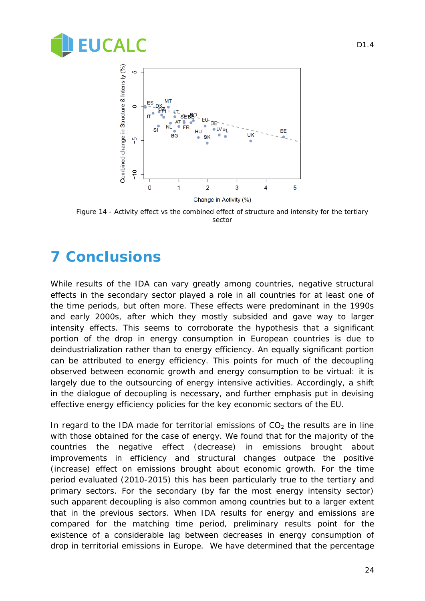



<span id="page-23-0"></span>*Figure 14 - Activity effect vs the combined effect of structure and intensity for the tertiary sector*

## **7 Conclusions**

While results of the IDA can vary greatly among countries, negative structural effects in the secondary sector played a role in all countries for at least one of the time periods, but often more. These effects were predominant in the 1990s and early 2000s, after which they mostly subsided and gave way to larger intensity effects. This seems to corroborate the hypothesis that a significant portion of the drop in energy consumption in European countries is due to deindustrialization rather than to energy efficiency. An equally significant portion can be attributed to energy efficiency. This points for much of the decoupling observed between economic growth and energy consumption to be virtual: it is largely due to the outsourcing of energy intensive activities. Accordingly, a shift in the dialogue of decoupling is necessary, and further emphasis put in devising effective energy efficiency policies for the key economic sectors of the EU.

In regard to the IDA made for territorial emissions of  $CO<sub>2</sub>$  the results are in line with those obtained for the case of energy. We found that for the majority of the countries the negative effect (decrease) in emissions brought about improvements in efficiency and structural changes outpace the positive (increase) effect on emissions brought about economic growth. For the time period evaluated (2010-2015) this has been particularly true to the tertiary and primary sectors. For the secondary (by far the most energy intensity sector) such apparent decoupling is also common among countries but to a larger extent that in the previous sectors. When IDA results for energy and emissions are compared for the matching time period, preliminary results point for the existence of a considerable lag between decreases in energy consumption of drop in territorial emissions in Europe. We have determined that the percentage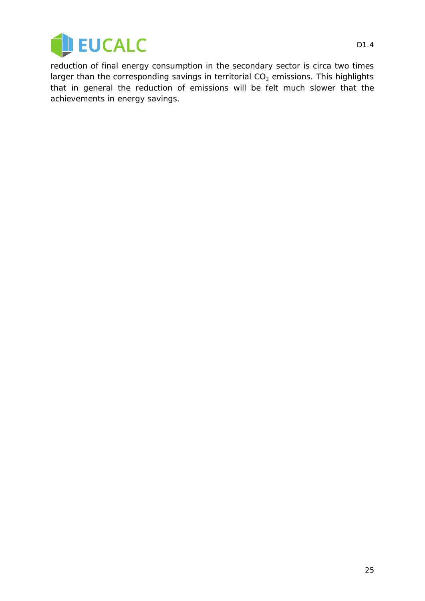

reduction of final energy consumption in the secondary sector is circa two times larger than the corresponding savings in territorial  $CO<sub>2</sub>$  emissions. This highlights that in general the reduction of emissions will be felt much slower that the achievements in energy savings.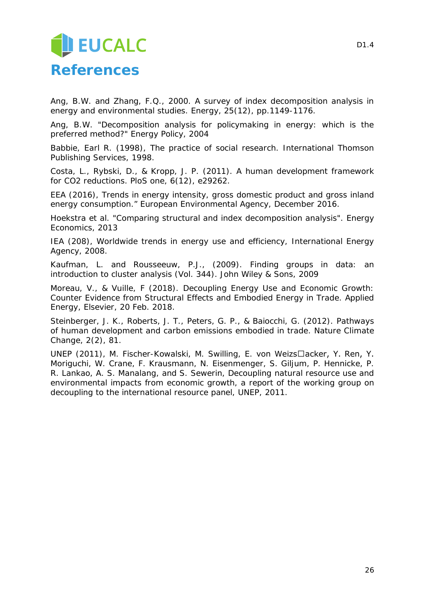## **JEUCALC References**

Ang, B.W. and Zhang, F.Q., 2000. A survey of index decomposition analysis in energy and environmental studies. *Energy*, *25*(12), pp.1149-1176.

Ang, B.W. "Decomposition analysis for policymaking in energy: which is the preferred method?" Energy Policy, 2004

Babbie, Earl R. (1998), *The practice of social research*. International Thomson Publishing Services, 1998.

Costa, L., Rybski, D., & Kropp, J. P. (2011). A human development framework for CO2 reductions. *PloS one*, *6*(12), e29262.

EEA (2016), Trends in energy intensity, gross domestic product and gross inland energy consumption." European Environmental Agency, December 2016.

Hoekstra et al. "Comparing structural and index decomposition analysis". Energy Economics, 2013

IEA (208), Worldwide trends in energy use and efficiency, International Energy Agency, 2008.

Kaufman, L. and Rousseeuw, P.J., (2009). *Finding groups in data: an introduction to cluster analysis* (Vol. 344). John Wiley & Sons, 2009

Moreau, V., & Vuille, F (2018). Decoupling Energy Use and Economic Growth: Counter Evidence from Structural Effects and Embodied Energy in Trade. Applied Energy, Elsevier, 20 Feb. 2018.

Steinberger, J. K., Roberts, J. T., Peters, G. P., & Baiocchi, G. (2012). Pathways of human development and carbon emissions embodied in trade. *Nature Climate Change*, *2*(2), 81.

UNEP (2011), M. Fischer-Kowalski, M. Swilling, E. von Weizs□acker, Y. Ren, Y. Moriguchi, W. Crane, F. Krausmann, N. Eisenmenger, S. Giljum, P. Hennicke, P. R. Lankao, A. S. Manalang, and S. Sewerin, Decoupling natural resource use and environmental impacts from economic growth, a report of the working group on decoupling to the international resource panel, UNEP, 2011.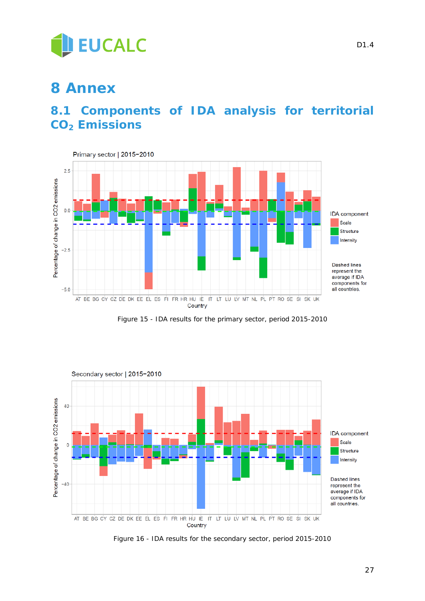

## **8 Annex**

### <span id="page-26-0"></span>**8.1 Components of IDA analysis for territorial CO2 Emissions**



*Figure 15 - IDA results for the primary sector, period 2015-2010*

<span id="page-26-1"></span>![](_page_26_Figure_5.jpeg)

*Figure 16 - IDA results for the secondary sector, period 2015-2010*